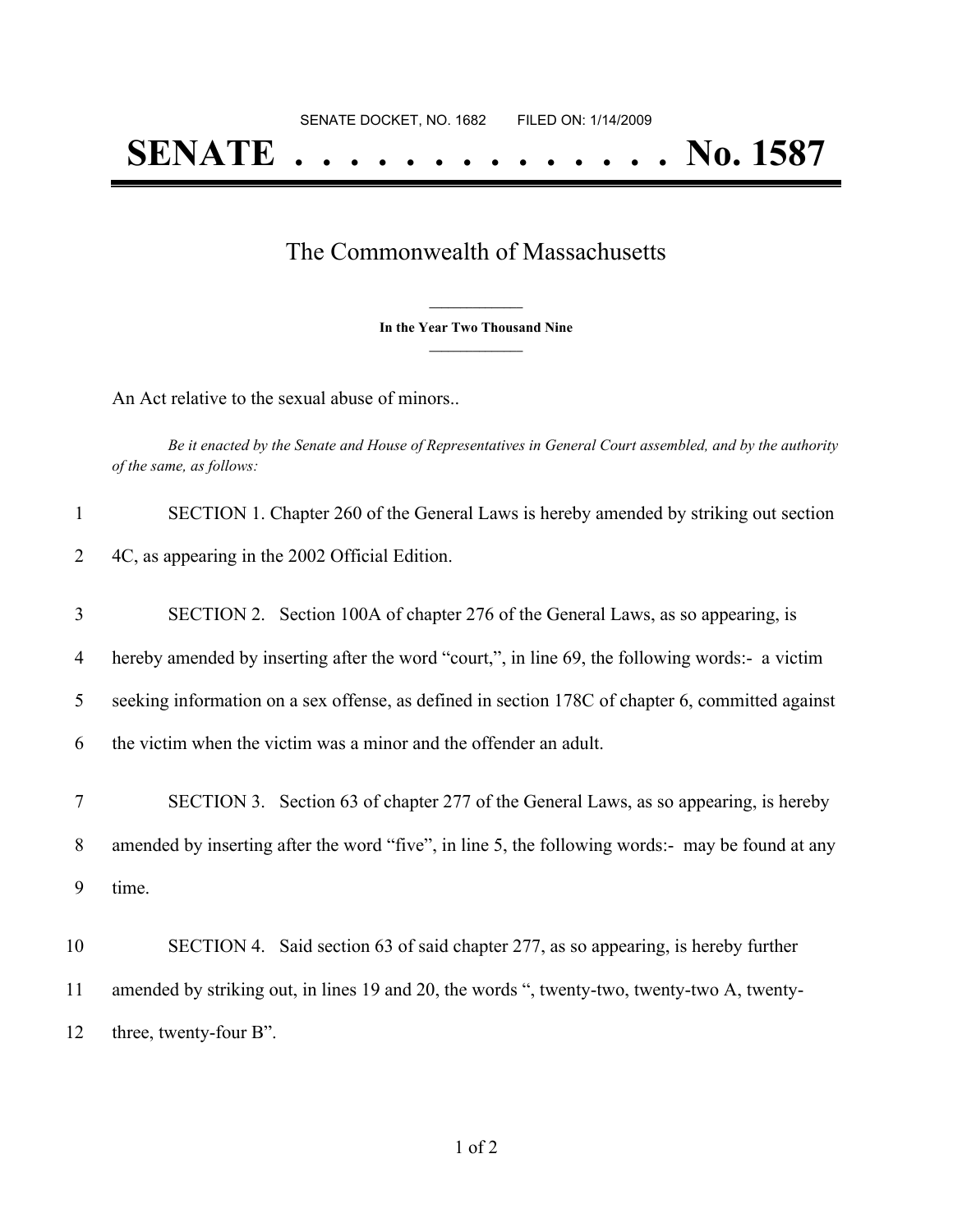## The Commonwealth of Massachusetts

**\_\_\_\_\_\_\_\_\_\_\_\_\_\_\_ In the Year Two Thousand Nine \_\_\_\_\_\_\_\_\_\_\_\_\_\_\_**

An Act relative to the sexual abuse of minors..

Be it enacted by the Senate and House of Representatives in General Court assembled, and by the authority *of the same, as follows:*

| $\mathbf{1}$   | SECTION 1. Chapter 260 of the General Laws is hereby amended by striking out section             |
|----------------|--------------------------------------------------------------------------------------------------|
| $\overline{2}$ | 4C, as appearing in the 2002 Official Edition.                                                   |
| 3              | SECTION 2. Section 100A of chapter 276 of the General Laws, as so appearing, is                  |
| 4              | hereby amended by inserting after the word "court,", in line 69, the following words:- a victim  |
| 5              | seeking information on a sex offense, as defined in section 178C of chapter 6, committed against |
| 6              | the victim when the victim was a minor and the offender an adult.                                |
| 7              | SECTION 3. Section 63 of chapter 277 of the General Laws, as so appearing, is hereby             |
| 8              | amended by inserting after the word "five", in line 5, the following words:- may be found at any |
| 9              | time.                                                                                            |
| 10             | SECTION 4. Said section 63 of said chapter 277, as so appearing, is hereby further               |
| 11             | amended by striking out, in lines 19 and 20, the words ", twenty-two, twenty-two A, twenty-      |
| 12             | three, twenty-four B".                                                                           |